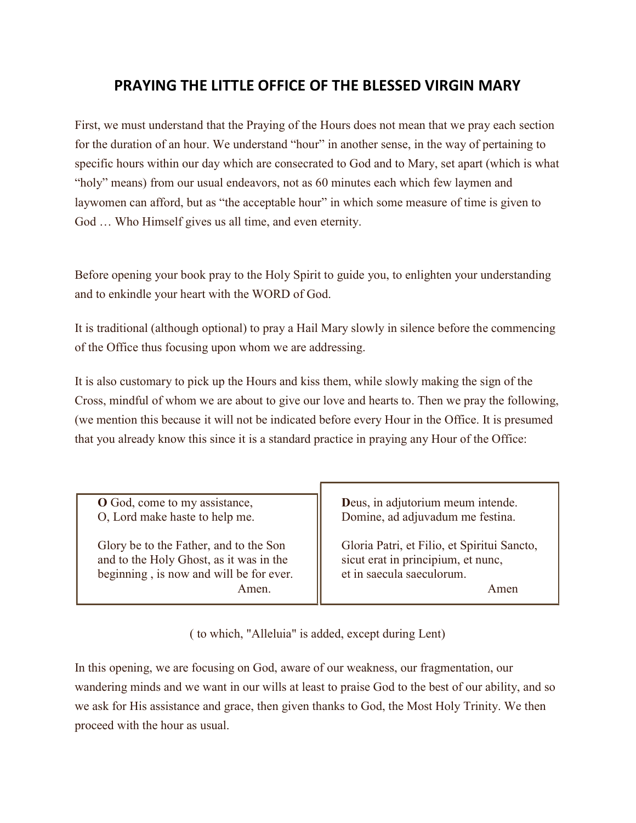## PRAYING THE LITTLE OFFICE OF THE BLESSED VIRGIN MARY

First, we must understand that the Praying of the Hours does not mean that we pray each section for the duration of an hour. We understand "hour" in another sense, in the way of pertaining to specific hours within our day which are consecrated to God and to Mary, set apart (which is what "holy" means) from our usual endeavors, not as 60 minutes each which few laymen and laywomen can afford, but as "the acceptable hour" in which some measure of time is given to God … Who Himself gives us all time, and even eternity.

Before opening your book pray to the Holy Spirit to guide you, to enlighten your understanding and to enkindle your heart with the WORD of God.

It is traditional (although optional) to pray a Hail Mary slowly in silence before the commencing of the Office thus focusing upon whom we are addressing.

It is also customary to pick up the Hours and kiss them, while slowly making the sign of the Cross, mindful of whom we are about to give our love and hearts to. Then we pray the following, (we mention this because it will not be indicated before every Hour in the Office. It is presumed that you already know this since it is a standard practice in praying any Hour of the Office:

| <b>O</b> God, come to my assistance,    | Deus, in adjutorium meum intende.           |
|-----------------------------------------|---------------------------------------------|
| O, Lord make haste to help me.          | Domine, ad adjuvadum me festina.            |
| Glory be to the Father, and to the Son  | Gloria Patri, et Filio, et Spiritui Sancto, |
| and to the Holy Ghost, as it was in the | sicut erat in principium, et nunc,          |
| beginning, is now and will be for ever. | et in saecula saeculorum.                   |
| Amen.                                   | Amen                                        |

( to which, "Alleluia" is added, except during Lent)

In this opening, we are focusing on God, aware of our weakness, our fragmentation, our wandering minds and we want in our wills at least to praise God to the best of our ability, and so we ask for His assistance and grace, then given thanks to God, the Most Holy Trinity. We then proceed with the hour as usual.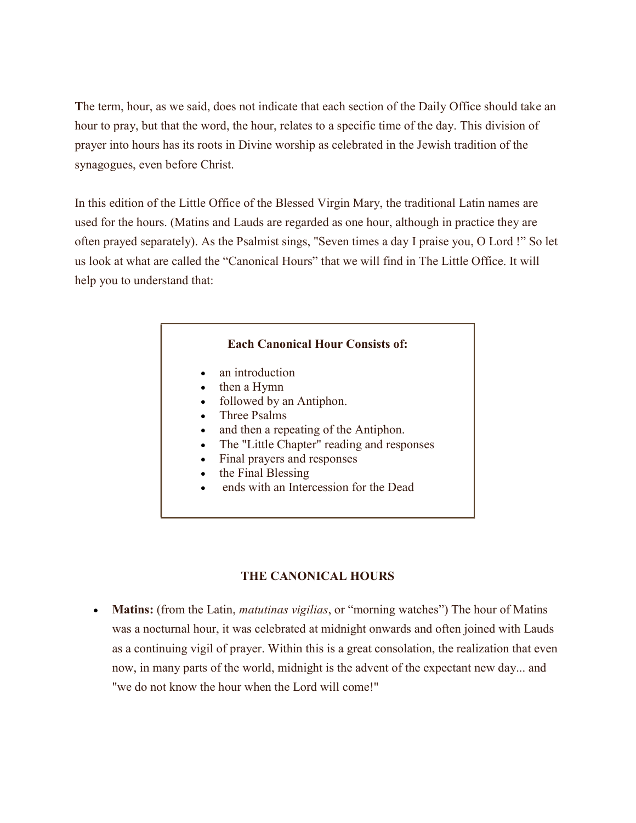The term, hour, as we said, does not indicate that each section of the Daily Office should take an hour to pray, but that the word, the hour, relates to a specific time of the day. This division of prayer into hours has its roots in Divine worship as celebrated in the Jewish tradition of the synagogues, even before Christ.

In this edition of the Little Office of the Blessed Virgin Mary, the traditional Latin names are used for the hours. (Matins and Lauds are regarded as one hour, although in practice they are often prayed separately). As the Psalmist sings, "Seven times a day I praise you, O Lord !" So let us look at what are called the "Canonical Hours" that we will find in The Little Office. It will help you to understand that:

## Each Canonical Hour Consists of:

- an introduction
- then a Hymn
- followed by an Antiphon.
- Three Psalms
- and then a repeating of the Antiphon.
- The "Little Chapter" reading and responses
- Final prayers and responses
- the Final Blessing
- ends with an Intercession for the Dead

## THE CANONICAL HOURS

• Matins: (from the Latin, *matutinas vigilias*, or "morning watches") The hour of Matins was a nocturnal hour, it was celebrated at midnight onwards and often joined with Lauds as a continuing vigil of prayer. Within this is a great consolation, the realization that even now, in many parts of the world, midnight is the advent of the expectant new day... and "we do not know the hour when the Lord will come!"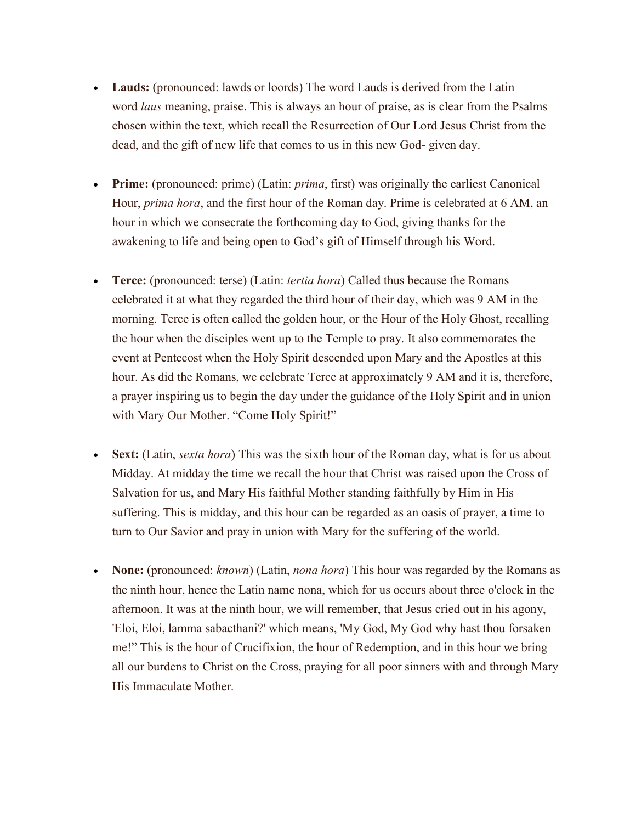- Lauds: (pronounced: lawds or loords) The word Lauds is derived from the Latin word *laus* meaning, praise. This is always an hour of praise, as is clear from the Psalms chosen within the text, which recall the Resurrection of Our Lord Jesus Christ from the dead, and the gift of new life that comes to us in this new God- given day.
- **Prime:** (pronounced: prime) (Latin: *prima*, first) was originally the earliest Canonical Hour, *prima hora*, and the first hour of the Roman day. Prime is celebrated at 6 AM, an hour in which we consecrate the forthcoming day to God, giving thanks for the awakening to life and being open to God's gift of Himself through his Word.
- Terce: (pronounced: terse) (Latin: *tertia hora*) Called thus because the Romans celebrated it at what they regarded the third hour of their day, which was 9 AM in the morning. Terce is often called the golden hour, or the Hour of the Holy Ghost, recalling the hour when the disciples went up to the Temple to pray. It also commemorates the event at Pentecost when the Holy Spirit descended upon Mary and the Apostles at this hour. As did the Romans, we celebrate Terce at approximately 9 AM and it is, therefore, a prayer inspiring us to begin the day under the guidance of the Holy Spirit and in union with Mary Our Mother. "Come Holy Spirit!"
- Sext: (Latin, sexta hora) This was the sixth hour of the Roman day, what is for us about Midday. At midday the time we recall the hour that Christ was raised upon the Cross of Salvation for us, and Mary His faithful Mother standing faithfully by Him in His suffering. This is midday, and this hour can be regarded as an oasis of prayer, a time to turn to Our Savior and pray in union with Mary for the suffering of the world.
- None: (pronounced: *known*) (Latin, *nona hora*) This hour was regarded by the Romans as the ninth hour, hence the Latin name nona, which for us occurs about three o'clock in the afternoon. It was at the ninth hour, we will remember, that Jesus cried out in his agony, 'Eloi, Eloi, lamma sabacthani?' which means, 'My God, My God why hast thou forsaken me!" This is the hour of Crucifixion, the hour of Redemption, and in this hour we bring all our burdens to Christ on the Cross, praying for all poor sinners with and through Mary His Immaculate Mother.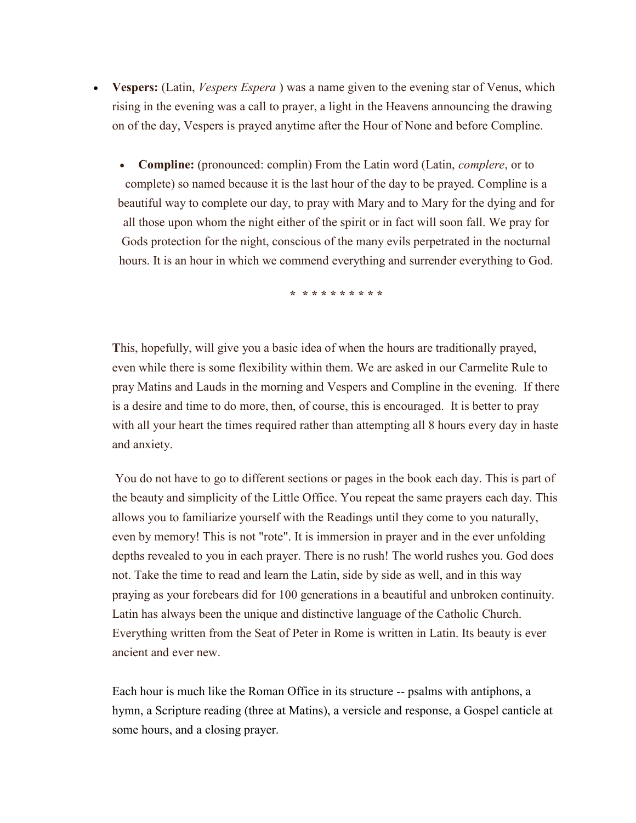- Vespers: (Latin, *Vespers Espera*) was a name given to the evening star of Venus, which rising in the evening was a call to prayer, a light in the Heavens announcing the drawing on of the day, Vespers is prayed anytime after the Hour of None and before Compline.
	- Compline: (pronounced: complin) From the Latin word (Latin, complere, or to complete) so named because it is the last hour of the day to be prayed. Compline is a beautiful way to complete our day, to pray with Mary and to Mary for the dying and for all those upon whom the night either of the spirit or in fact will soon fall. We pray for Gods protection for the night, conscious of the many evils perpetrated in the nocturnal hours. It is an hour in which we commend everything and surrender everything to God.

\* \* \* \* \* \* \* \* \* \*

This, hopefully, will give you a basic idea of when the hours are traditionally prayed, even while there is some flexibility within them. We are asked in our Carmelite Rule to pray Matins and Lauds in the morning and Vespers and Compline in the evening. If there is a desire and time to do more, then, of course, this is encouraged. It is better to pray with all your heart the times required rather than attempting all 8 hours every day in haste and anxiety.

You do not have to go to different sections or pages in the book each day. This is part of the beauty and simplicity of the Little Office. You repeat the same prayers each day. This allows you to familiarize yourself with the Readings until they come to you naturally, even by memory! This is not "rote". It is immersion in prayer and in the ever unfolding depths revealed to you in each prayer. There is no rush! The world rushes you. God does not. Take the time to read and learn the Latin, side by side as well, and in this way praying as your forebears did for 100 generations in a beautiful and unbroken continuity. Latin has always been the unique and distinctive language of the Catholic Church. Everything written from the Seat of Peter in Rome is written in Latin. Its beauty is ever ancient and ever new.

Each hour is much like the Roman Office in its structure -- psalms with antiphons, a hymn, a Scripture reading (three at Matins), a versicle and response, a Gospel canticle at some hours, and a closing prayer.